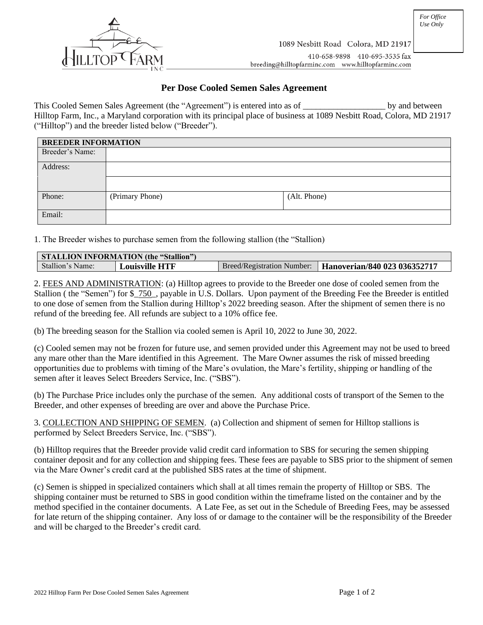

## **Per Dose Cooled Semen Sales Agreement**

This Cooled Semen Sales Agreement (the "Agreement") is entered into as of \_\_\_\_\_\_\_\_\_\_\_\_\_\_\_\_\_\_\_\_\_ by and between Hilltop Farm, Inc., a Maryland corporation with its principal place of business at 1089 Nesbitt Road, Colora, MD 21917 ("Hilltop") and the breeder listed below ("Breeder").

| <b>BREEDER INFORMATION</b> |                 |  |              |  |  |
|----------------------------|-----------------|--|--------------|--|--|
| Breeder's Name:            |                 |  |              |  |  |
| Address:                   |                 |  |              |  |  |
|                            |                 |  |              |  |  |
| Phone:                     | (Primary Phone) |  | (Alt. Phone) |  |  |
| Email:                     |                 |  |              |  |  |

1. The Breeder wishes to purchase semen from the following stallion (the "Stallion)

| <b>STALLION INFORMATION (the "Stallion")</b> |                                                |                                   |                              |  |  |
|----------------------------------------------|------------------------------------------------|-----------------------------------|------------------------------|--|--|
| Stallion's Name:                             | ${\rm \bf {\cal L}}$ ouisville ${\rm \bf HTF}$ | <b>Breed/Registration Number:</b> | Hanoverian/840 023 036352717 |  |  |

2. FEES AND ADMINISTRATION: (a) Hilltop agrees to provide to the Breeder one dose of cooled semen from the Stallion ( the "Semen") for \$\_750\_, payable in U.S. Dollars. Upon payment of the Breeding Fee the Breeder is entitled to one dose of semen from the Stallion during Hilltop's 2022 breeding season. After the shipment of semen there is no refund of the breeding fee. All refunds are subject to a 10% office fee.

(b) The breeding season for the Stallion via cooled semen is April 10, 2022 to June 30, 2022.

(c) Cooled semen may not be frozen for future use, and semen provided under this Agreement may not be used to breed any mare other than the Mare identified in this Agreement. The Mare Owner assumes the risk of missed breeding opportunities due to problems with timing of the Mare's ovulation, the Mare's fertility, shipping or handling of the semen after it leaves Select Breeders Service, Inc. ("SBS").

(b) The Purchase Price includes only the purchase of the semen. Any additional costs of transport of the Semen to the Breeder, and other expenses of breeding are over and above the Purchase Price.

3. COLLECTION AND SHIPPING OF SEMEN. (a) Collection and shipment of semen for Hilltop stallions is performed by Select Breeders Service, Inc. ("SBS").

(b) Hilltop requires that the Breeder provide valid credit card information to SBS for securing the semen shipping container deposit and for any collection and shipping fees. These fees are payable to SBS prior to the shipment of semen via the Mare Owner's credit card at the published SBS rates at the time of shipment.

(c) Semen is shipped in specialized containers which shall at all times remain the property of Hilltop or SBS. The shipping container must be returned to SBS in good condition within the timeframe listed on the container and by the method specified in the container documents. A Late Fee, as set out in the Schedule of Breeding Fees, may be assessed for late return of the shipping container. Any loss of or damage to the container will be the responsibility of the Breeder and will be charged to the Breeder's credit card.